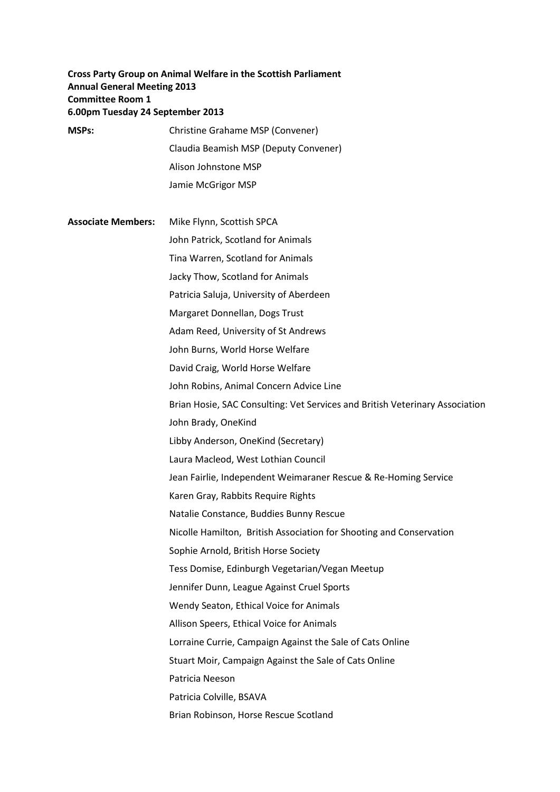# **Cross Party Group on Animal Welfare in the Scottish Parliament Annual General Meeting 2013 Committee Room 1 6.00pm Tuesday 24 September 2013**

- **MSPs:** Christine Grahame MSP (Convener) Claudia Beamish MSP (Deputy Convener) Alison Johnstone MSP Jamie McGrigor MSP
- 

**Associate Members:** Mike Flynn, Scottish SPCA John Patrick, Scotland for Animals Tina Warren, Scotland for Animals Jacky Thow, Scotland for Animals Patricia Saluja, University of Aberdeen Margaret Donnellan, Dogs Trust Adam Reed, University of St Andrews John Burns, World Horse Welfare David Craig, World Horse Welfare John Robins, Animal Concern Advice Line Brian Hosie, SAC Consulting: Vet Services and British Veterinary Association John Brady, OneKind Libby Anderson, OneKind (Secretary) Laura Macleod, West Lothian Council Jean Fairlie, Independent Weimaraner Rescue & Re-Homing Service Karen Gray, Rabbits Require Rights Natalie Constance, Buddies Bunny Rescue Nicolle Hamilton, British Association for Shooting and Conservation Sophie Arnold, British Horse Society Tess Domise, Edinburgh Vegetarian/Vegan Meetup Jennifer Dunn, League Against Cruel Sports Wendy Seaton, Ethical Voice for Animals Allison Speers, Ethical Voice for Animals Lorraine Currie, Campaign Against the Sale of Cats Online Stuart Moir, Campaign Against the Sale of Cats Online Patricia Neeson Patricia Colville, BSAVA Brian Robinson, Horse Rescue Scotland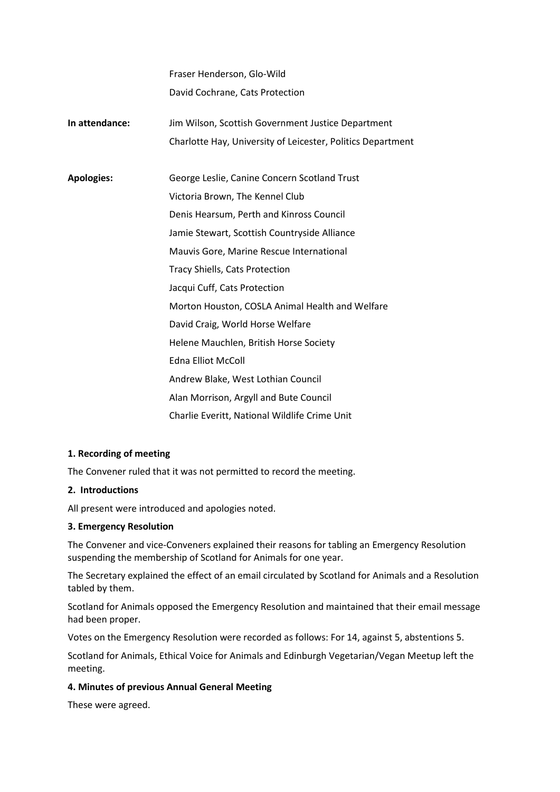Fraser Henderson, Glo-Wild David Cochrane, Cats Protection

- **In attendance:** Jim Wilson, Scottish Government Justice Department Charlotte Hay, University of Leicester, Politics Department
- **Apologies:** George Leslie, Canine Concern Scotland Trust Victoria Brown, The Kennel Club Denis Hearsum, Perth and Kinross Council Jamie Stewart, Scottish Countryside Alliance Mauvis Gore, Marine Rescue International Tracy Shiells, Cats Protection Jacqui Cuff, Cats Protection Morton Houston, COSLA Animal Health and Welfare David Craig, World Horse Welfare Helene Mauchlen, British Horse Society Edna Elliot McColl Andrew Blake, West Lothian Council Alan Morrison, Argyll and Bute Council Charlie Everitt, National Wildlife Crime Unit

## **1. Recording of meeting**

The Convener ruled that it was not permitted to record the meeting.

## **2. Introductions**

All present were introduced and apologies noted.

## **3. Emergency Resolution**

The Convener and vice-Conveners explained their reasons for tabling an Emergency Resolution suspending the membership of Scotland for Animals for one year.

The Secretary explained the effect of an email circulated by Scotland for Animals and a Resolution tabled by them.

Scotland for Animals opposed the Emergency Resolution and maintained that their email message had been proper.

Votes on the Emergency Resolution were recorded as follows: For 14, against 5, abstentions 5.

Scotland for Animals, Ethical Voice for Animals and Edinburgh Vegetarian/Vegan Meetup left the meeting.

## **4. Minutes of previous Annual General Meeting**

These were agreed.